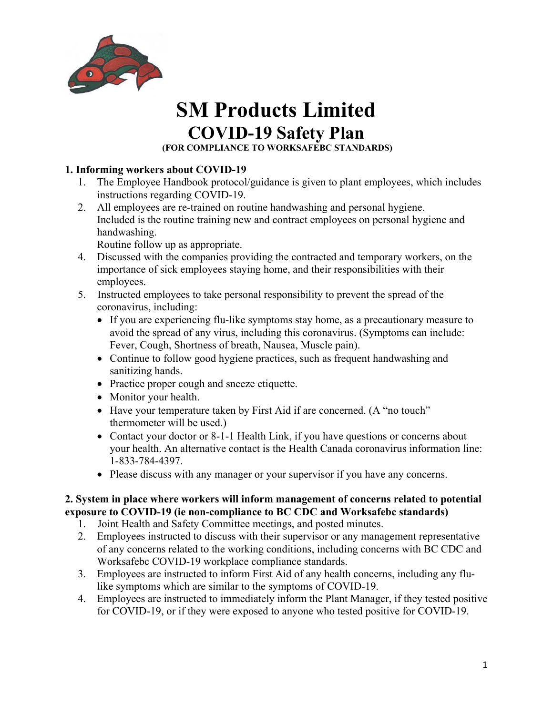

 **(FOR COMPLIANCE TO WORKSAFEBC STANDARDS)** 

#### **1. Informing workers about COVID-19**

- 1. The Employee Handbook protocol/guidance is given to plant employees, which includes instructions regarding COVID-19.
- 2. All employees are re-trained on routine handwashing and personal hygiene. Included is the routine training new and contract employees on personal hygiene and handwashing.

Routine follow up as appropriate.

- 4. Discussed with the companies providing the contracted and temporary workers, on the importance of sick employees staying home, and their responsibilities with their employees.
- 5. Instructed employees to take personal responsibility to prevent the spread of the coronavirus, including:
	- If you are experiencing flu-like symptoms stay home, as a precautionary measure to avoid the spread of any virus, including this coronavirus. (Symptoms can include: Fever, Cough, Shortness of breath, Nausea, Muscle pain).
	- Continue to follow good hygiene practices, such as frequent handwashing and sanitizing hands.
	- Practice proper cough and sneeze etiquette.
	- Monitor your health.
	- Have your temperature taken by First Aid if are concerned. (A "no touch" thermometer will be used.)
	- Contact your doctor or 8-1-1 Health Link, if you have questions or concerns about your health. An alternative contact is the Health Canada coronavirus information line: 1-833-784-4397.
	- Please discuss with any manager or your supervisor if you have any concerns.

#### **2. System in place where workers will inform management of concerns related to potential exposure to COVID-19 (ie non-compliance to BC CDC and Worksafebc standards)**

- 1. Joint Health and Safety Committee meetings, and posted minutes.
- 2. Employees instructed to discuss with their supervisor or any management representative of any concerns related to the working conditions, including concerns with BC CDC and Worksafebc COVID-19 workplace compliance standards.
- 3. Employees are instructed to inform First Aid of any health concerns, including any flulike symptoms which are similar to the symptoms of COVID-19.
- 4. Employees are instructed to immediately inform the Plant Manager, if they tested positive for COVID-19, or if they were exposed to anyone who tested positive for COVID-19.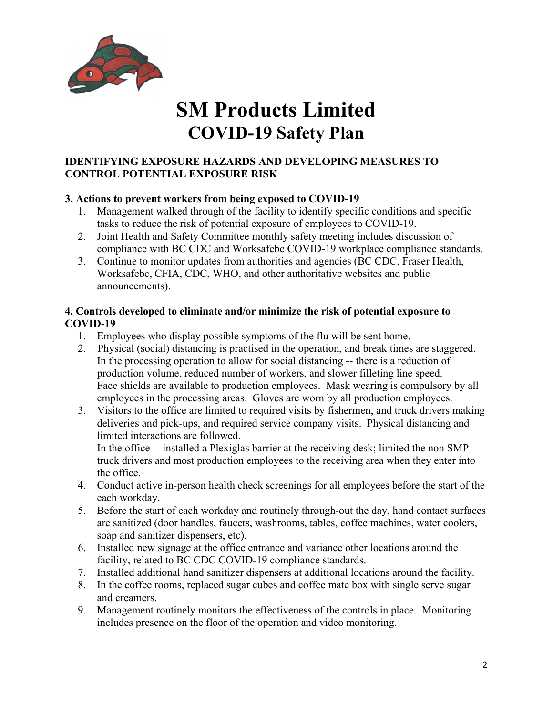

#### **IDENTIFYING EXPOSURE HAZARDS AND DEVELOPING MEASURES TO CONTROL POTENTIAL EXPOSURE RISK**

#### **3. Actions to prevent workers from being exposed to COVID-19**

- 1. Management walked through of the facility to identify specific conditions and specific tasks to reduce the risk of potential exposure of employees to COVID-19.
- 2. Joint Health and Safety Committee monthly safety meeting includes discussion of compliance with BC CDC and Worksafebc COVID-19 workplace compliance standards.
- 3. Continue to monitor updates from authorities and agencies (BC CDC, Fraser Health, Worksafebc, CFIA, CDC, WHO, and other authoritative websites and public announcements).

#### **4. Controls developed to eliminate and/or minimize the risk of potential exposure to COVID-19**

- 1. Employees who display possible symptoms of the flu will be sent home.
- 2. Physical (social) distancing is practised in the operation, and break times are staggered. In the processing operation to allow for social distancing -- there is a reduction of production volume, reduced number of workers, and slower filleting line speed. Face shields are available to production employees. Mask wearing is compulsory by all employees in the processing areas. Gloves are worn by all production employees.
- 3. Visitors to the office are limited to required visits by fishermen, and truck drivers making deliveries and pick-ups, and required service company visits. Physical distancing and limited interactions are followed.

 In the office -- installed a Plexiglas barrier at the receiving desk; limited the non SMP truck drivers and most production employees to the receiving area when they enter into the office.

- 4. Conduct active in-person health check screenings for all employees before the start of the each workday.
- 5. Before the start of each workday and routinely through-out the day, hand contact surfaces are sanitized (door handles, faucets, washrooms, tables, coffee machines, water coolers, soap and sanitizer dispensers, etc).
- 6. Installed new signage at the office entrance and variance other locations around the facility, related to BC CDC COVID-19 compliance standards.
- 7. Installed additional hand sanitizer dispensers at additional locations around the facility.
- 8. In the coffee rooms, replaced sugar cubes and coffee mate box with single serve sugar and creamers.
- 9. Management routinely monitors the effectiveness of the controls in place. Monitoring includes presence on the floor of the operation and video monitoring.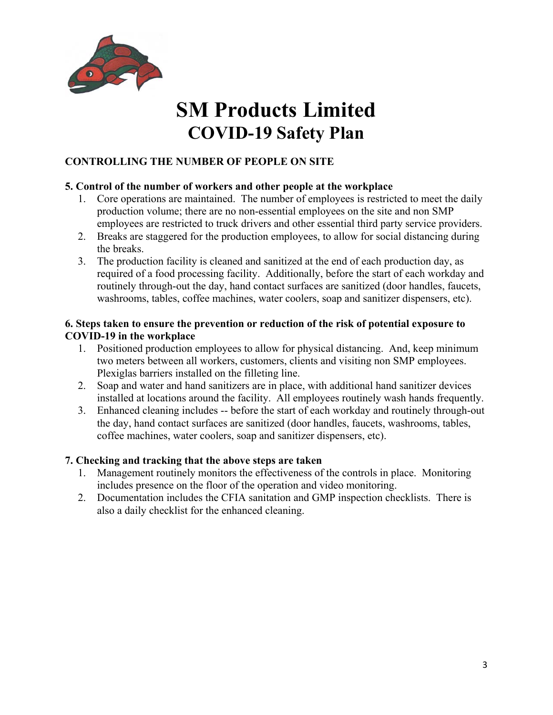

### **CONTROLLING THE NUMBER OF PEOPLE ON SITE**

#### **5. Control of the number of workers and other people at the workplace**

- 1. Core operations are maintained. The number of employees is restricted to meet the daily production volume; there are no non-essential employees on the site and non SMP employees are restricted to truck drivers and other essential third party service providers.
- 2. Breaks are staggered for the production employees, to allow for social distancing during the breaks.
- 3. The production facility is cleaned and sanitized at the end of each production day, as required of a food processing facility. Additionally, before the start of each workday and routinely through-out the day, hand contact surfaces are sanitized (door handles, faucets, washrooms, tables, coffee machines, water coolers, soap and sanitizer dispensers, etc).

#### **6. Steps taken to ensure the prevention or reduction of the risk of potential exposure to COVID-19 in the workplace**

- 1. Positioned production employees to allow for physical distancing. And, keep minimum two meters between all workers, customers, clients and visiting non SMP employees. Plexiglas barriers installed on the filleting line.
- 2. Soap and water and hand sanitizers are in place, with additional hand sanitizer devices installed at locations around the facility. All employees routinely wash hands frequently.
- 3. Enhanced cleaning includes -- before the start of each workday and routinely through-out the day, hand contact surfaces are sanitized (door handles, faucets, washrooms, tables, coffee machines, water coolers, soap and sanitizer dispensers, etc).

#### **7. Checking and tracking that the above steps are taken**

- 1. Management routinely monitors the effectiveness of the controls in place. Monitoring includes presence on the floor of the operation and video monitoring.
- 2. Documentation includes the CFIA sanitation and GMP inspection checklists. There is also a daily checklist for the enhanced cleaning.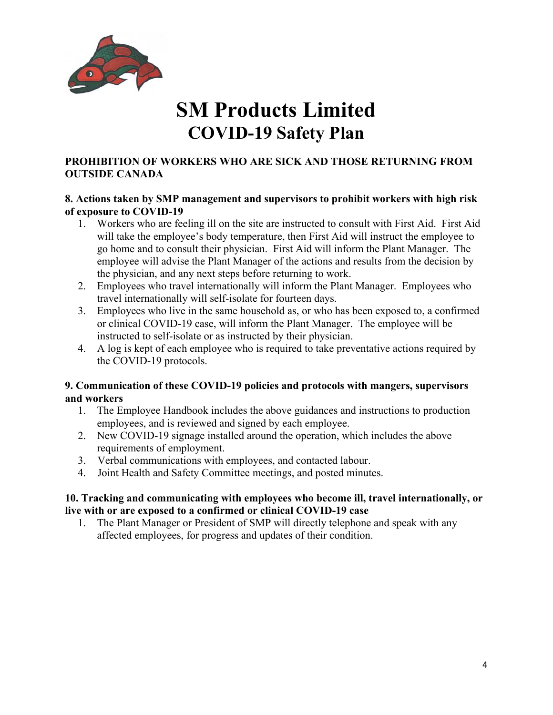

#### **PROHIBITION OF WORKERS WHO ARE SICK AND THOSE RETURNING FROM OUTSIDE CANADA**

#### **8. Actions taken by SMP management and supervisors to prohibit workers with high risk of exposure to COVID-19**

- 1. Workers who are feeling ill on the site are instructed to consult with First Aid. First Aid will take the employee's body temperature, then First Aid will instruct the employee to go home and to consult their physician. First Aid will inform the Plant Manager. The employee will advise the Plant Manager of the actions and results from the decision by the physician, and any next steps before returning to work.
- 2. Employees who travel internationally will inform the Plant Manager. Employees who travel internationally will self-isolate for fourteen days.
- 3. Employees who live in the same household as, or who has been exposed to, a confirmed or clinical COVID-19 case, will inform the Plant Manager. The employee will be instructed to self-isolate or as instructed by their physician.
- 4. A log is kept of each employee who is required to take preventative actions required by the COVID-19 protocols.

#### **9. Communication of these COVID-19 policies and protocols with mangers, supervisors and workers**

- 1. The Employee Handbook includes the above guidances and instructions to production employees, and is reviewed and signed by each employee.
- 2. New COVID-19 signage installed around the operation, which includes the above requirements of employment.
- 3. Verbal communications with employees, and contacted labour.
- 4. Joint Health and Safety Committee meetings, and posted minutes.

#### **10. Tracking and communicating with employees who become ill, travel internationally, or live with or are exposed to a confirmed or clinical COVID-19 case**

1. The Plant Manager or President of SMP will directly telephone and speak with any affected employees, for progress and updates of their condition.